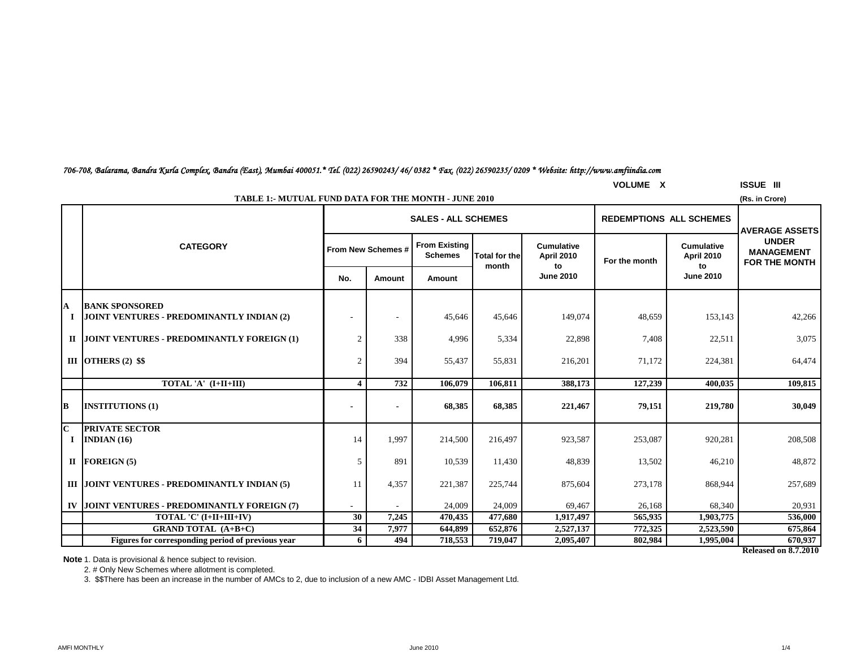|  | <b>GRAND TOTAL</b><br>(A+B+C $\,$                 | 34. | 107'<br>, J J | 14.899  | 652.876 | 2,527,137 | $H = 2.25$<br>$\sim$<br>,,,,,,, | 2.523.590 | 675,864 |
|--|---------------------------------------------------|-----|---------------|---------|---------|-----------|---------------------------------|-----------|---------|
|  | Figures for corresponding period of previous vear |     | 494           | 718.553 | 719.047 | 2,095,407 | 802,984                         | 1,995,004 | 670.937 |

**Note** 1. Data is provisional & hence subject to revision.

**PRIVATE SECTOR**

 $\textbf{I}$ **I** FOREIGN (5)

**B**

**C**

**I**

**IV**

2. # Only New Schemes where allotment is completed.

3. \$\$There has been an increase in the number of AMCs to 2, due to inclusion of a new AMC - IDBI Asset Management Ltd.

|   | <b>TABLE 1:- MUTUAL FUND DATA FOR THE MONTH - JUNE 2010</b><br>(Rs. in Crore) |                           |                                                              |                                                           |                  |                                              |                  |                                              |                                                                                     |  |  |  |
|---|-------------------------------------------------------------------------------|---------------------------|--------------------------------------------------------------|-----------------------------------------------------------|------------------|----------------------------------------------|------------------|----------------------------------------------|-------------------------------------------------------------------------------------|--|--|--|
|   |                                                                               |                           | <b>SALES - ALL SCHEMES</b><br><b>REDEMPTIONS ALL SCHEMES</b> |                                                           |                  |                                              |                  |                                              |                                                                                     |  |  |  |
|   | <b>CATEGORY</b>                                                               | <b>From New Schemes #</b> |                                                              | From Existing<br><b>Schemes</b><br>Total for the<br>month |                  | <b>Cumulative</b><br><b>April 2010</b><br>to | For the month    | <b>Cumulative</b><br><b>April 2010</b><br>to | <b>JAVERAGE ASSETS</b><br><b>UNDER</b><br><b>MANAGEMENT</b><br><b>FOR THE MONTH</b> |  |  |  |
|   |                                                                               | No.                       | Amount                                                       | Amount                                                    | <b>June 2010</b> |                                              | <b>June 2010</b> |                                              |                                                                                     |  |  |  |
| A | <b>BANK SPONSORED</b><br>I JOINT VENTURES - PREDOMINANTLY INDIAN (2)          |                           |                                                              | 45,646                                                    | 45,646           | 149,074                                      | 48,659           | 153,143                                      | 42,266                                                                              |  |  |  |
|   | II JOINT VENTURES - PREDOMINANTLY FOREIGN (1)                                 |                           | 338                                                          | 4,996                                                     | 5,334            | 22,898                                       | 7,408            | 22,511                                       | 3,075                                                                               |  |  |  |
|   | III OTHERS $(2)$ \$\$                                                         |                           | 394                                                          | 55,437                                                    | 55,831           | 216,201                                      | 71,172           | 224,381                                      | 64,474                                                                              |  |  |  |
|   | TOTAL 'A' (I+II+III)                                                          |                           | 732                                                          | 106,079                                                   | 106,811          | 388,173                                      | 127,239          | 400,035                                      | 109,815                                                                             |  |  |  |
|   |                                                                               |                           |                                                              |                                                           |                  |                                              |                  |                                              |                                                                                     |  |  |  |

**INSTITUTIONS (1) - - 68,385 68,385 221,467 79,151 219,780 30,049**

**INDIAN** (16) **14 1,997 214,500 216,497 923,587 253,087 920,281 208,508 208,508** 

**FOREIGN (5)** 5 891 10,539 11,430 48,839 13,502 46,210 48,872

**JOINT VENTURES - PREDOMINANTLY FOREIGN (7)**  $\begin{vmatrix} -1 & 24,009 & 24,009 \\ 24,009 & 24,009 & 69,467 \end{vmatrix}$  26,168 68,340 68,340 20,931

**TOTAL 'C' (I+II+III+IV)** 30 7,245 470,435 477,680 1,917,497 565,935 1,903,775 536,000

**III |JOINT VENTURES - PREDOMINANTLY INDIAN (5)**  $11$  | 4,357 | 221,387 | 225,744 | 875,604 | 273,178 | 868,944 | 257,689

### *706-708, Balarama, Bandra Kurla Complex, Bandra (East), Mumbai 400051.\* Tel. (022) 26590243/ 46/ 0382 \* Fax. (022) 26590235/ 0209 \* Website: http://www.amfiindia.com*

**Released on 8.7.2010**

**VOLUME X ISSUE III**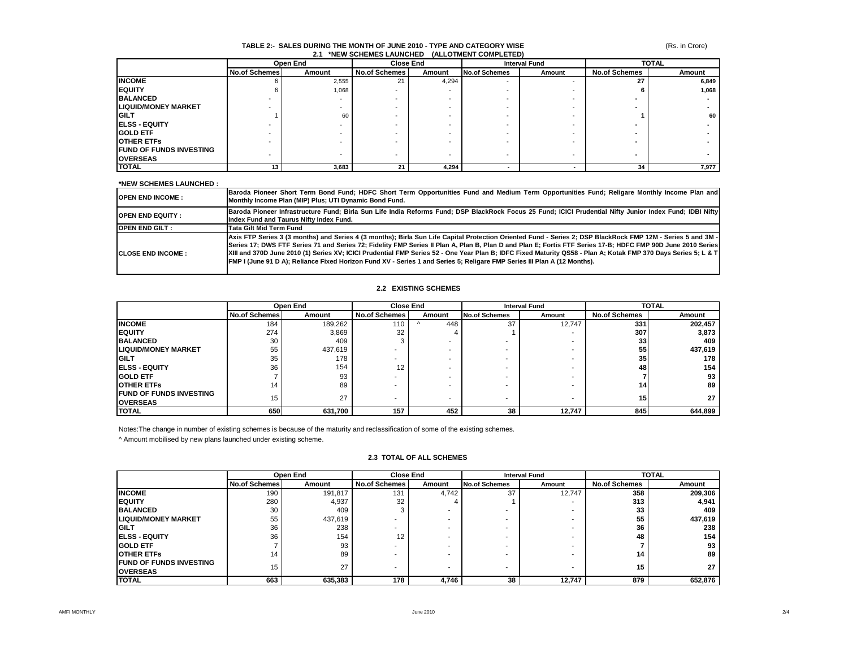#### (Rs. in Crore)

#### **TABLE 2:- SALES DURING THE MONTH OF JUNE 2010 - TYPE AND CATEGORY WISE 2.1 \*NEW SCHEMES LAUNCHED (ALLOTMENT COMPLETED)**

|                                | Open End<br><b>Close End</b> |        |                      |        | <b>Interval Fund</b>     | <b>TOTAL</b> |                      |        |
|--------------------------------|------------------------------|--------|----------------------|--------|--------------------------|--------------|----------------------|--------|
|                                | <b>No.of Schemes</b>         | Amount | <b>No.of Schemes</b> | Amount | <b>No.of Schemes</b>     | Amount       | <b>No.of Schemes</b> | Amount |
| <b>INCOME</b>                  |                              | 2,555  | 21                   | 4,294  | $\overline{\phantom{a}}$ |              | 27                   | 6,849  |
| <b>EQUITY</b>                  |                              | 1,068  |                      |        |                          |              |                      | 1,068  |
| <b>BALANCED</b>                |                              |        |                      |        |                          |              |                      |        |
| <b>LIQUID/MONEY MARKET</b>     |                              |        |                      |        |                          |              |                      |        |
| <b>GILT</b>                    |                              | 60     |                      |        |                          |              |                      | 60     |
| <b>IELSS - EQUITY</b>          |                              |        |                      |        |                          |              |                      |        |
| <b>GOLD ETF</b>                |                              |        |                      |        |                          |              |                      |        |
| <b>OTHER ETFS</b>              |                              |        |                      |        |                          |              |                      |        |
| <b>FUND OF FUNDS INVESTING</b> |                              |        |                      |        |                          |              |                      |        |
| <b>OVERSEAS</b>                |                              |        | -                    |        |                          |              |                      |        |
| <b>TOTAL</b>                   |                              | 3,683  | 21                   | 4,294  |                          |              | 34                   | 7.977  |

#### **\*NEW SCHEMES LAUNCHED :**

| <b>OPEN END INCOME :</b>   | Baroda Pioneer Short Term Bond Fund; HDFC Short Term Opportunities Fund and Medium Term Opportunities Fund; Religare Monthly Income Plan and<br>Monthly Income Plan (MIP) Plus; UTI Dynamic Bond Fund.                                                                                                                                                                                                                                                                                                                                                                                                                   |
|----------------------------|--------------------------------------------------------------------------------------------------------------------------------------------------------------------------------------------------------------------------------------------------------------------------------------------------------------------------------------------------------------------------------------------------------------------------------------------------------------------------------------------------------------------------------------------------------------------------------------------------------------------------|
| <b>IOPEN END EQUITY :</b>  | Baroda Pioneer Infrastructure Fund; Birla Sun Life India Reforms Fund; DSP BlackRock Focus 25 Fund; ICICI Prudential Nifty Junior Index Fund; IDBI Nifty<br>Index Fund and Taurus Nifty Index Fund.                                                                                                                                                                                                                                                                                                                                                                                                                      |
| <b>OPEN END GILT:</b>      | Tata Gilt Mid Term Fund                                                                                                                                                                                                                                                                                                                                                                                                                                                                                                                                                                                                  |
| <b>ICLOSE END INCOME :</b> | Axis FTP Series 3 (3 months) and Series 4 (3 months); Birla Sun Life Capital Protection Oriented Fund - Series 2; DSP BlackRock FMP 12M - Series 5 and 3M -<br>Series 17; DWS FTF Series 71 and Series 72; Fidelity FMP Series II Plan A, Plan B, Plan D and Plan E; Fortis FTF Series 17-B; HDFC FMP 90D June 2010 Series<br>XIII and 370D June 2010 (1) Series XV; ICICI Prudential FMP Series 52 - One Year Plan B; IDFC Fixed Maturity QS58 - Plan A; Kotak FMP 370 Days Series 5; L & T<br>FMP I (June 91 D A); Reliance Fixed Horizon Fund XV - Series 1 and Series 5; Religare FMP Series III Plan A (12 Months). |

#### **2.2 EXISTING SCHEMES**

|                                                     |                      | Open End |                      | <b>Close End</b>         |                      | <b>Interval Fund</b> |                      | <b>TOTAL</b> |
|-----------------------------------------------------|----------------------|----------|----------------------|--------------------------|----------------------|----------------------|----------------------|--------------|
|                                                     | <b>No.of Schemes</b> | Amount   | <b>No.of Schemes</b> | Amount                   | <b>No.of Schemes</b> | Amount               | <b>No.of Schemes</b> | Amount       |
| <b>INCOME</b>                                       | 184                  | 189,262  | 110                  | 448                      | 37                   | 12,747               | 331                  | 202,457      |
| <b>IEQUITY</b>                                      | 274                  | 3,869    | 32                   |                          |                      | ۰                    | 307                  | 3,873        |
| <b>BALANCED</b>                                     | 30                   | 409      |                      |                          |                      |                      | 33                   | 409          |
| <b>LIQUID/MONEY MARKET</b>                          | 55                   | 437,619  |                      | $\overline{\phantom{0}}$ |                      |                      | 55                   | 437,619      |
| <b>IGILT</b>                                        | 35                   | 178      |                      | $\overline{\phantom{0}}$ |                      |                      | 35                   | 178          |
| <b>IELSS - EQUITY</b>                               | 36                   | 154      | 12                   | $\overline{\phantom{0}}$ |                      | ۰                    | 48                   | 154          |
| <b>IGOLD ETF</b>                                    |                      | 93       |                      | $\overline{\phantom{0}}$ |                      |                      |                      | 93           |
| <b>IOTHER ETFS</b>                                  | 14                   | 89       |                      | $\overline{\phantom{0}}$ |                      |                      | 14 <sub>1</sub>      | 89           |
| <b>IFUND OF FUNDS INVESTING</b><br><b>IOVERSEAS</b> | 15                   | 27       |                      | $\overline{\phantom{0}}$ | -                    | ۰                    | 15.                  | 27           |
| <b>TOTAL</b>                                        | 650                  | 631,700  | 157                  | 452                      | 38                   | 12,747               | 845                  | 644,899      |

Notes:The change in number of existing schemes is because of the maturity and reclassification of some of the existing schemes.

^ Amount mobilised by new plans launched under existing scheme.

|                                                   |                      | Open End |                      | <b>Close End</b><br><b>Interval Fund</b> |                      | <b>TOTAL</b> |                      |         |
|---------------------------------------------------|----------------------|----------|----------------------|------------------------------------------|----------------------|--------------|----------------------|---------|
|                                                   | <b>No.of Schemes</b> | Amount   | <b>No.of Schemes</b> | Amount                                   | <b>No.of Schemes</b> | Amount       | <b>No.of Schemes</b> | Amount  |
| <b>INCOME</b>                                     | 190                  | 191,817  | 131                  | 4,742                                    | 37                   | 12,747       | 358                  | 209,306 |
| <b>EQUITY</b>                                     | 280                  | 4.937    | 32                   |                                          |                      |              | 313                  | 4,941   |
| <b>BALANCED</b>                                   | 30                   | 409      |                      |                                          |                      |              | 33                   | 409     |
| <b>LIQUID/MONEY MARKET</b>                        | 55                   | 437,619  |                      |                                          | -                    |              | 55                   | 437,619 |
| <b>GILT</b>                                       | 36                   | 238      |                      |                                          |                      |              | 36                   | 238     |
| <b>ELSS - EQUITY</b>                              | 36                   | 154      | 12                   |                                          |                      |              | 48                   | 154     |
| <b>GOLD ETF</b>                                   |                      | 93       |                      |                                          |                      |              |                      | 93      |
| <b>OTHER ETFS</b>                                 | 14                   | 89       |                      |                                          |                      |              | 14                   | 89      |
| <b>FUND OF FUNDS INVESTING</b><br><b>OVERSEAS</b> | 15                   | 27       |                      |                                          |                      | -            | 15                   | 27      |
| <b>TOTAL</b>                                      | 663                  | 635,383  | 178                  | 4,746                                    | 38                   | 12,747       | 879                  | 652.876 |

#### **2.3 TOTAL OF ALL SCHEMES**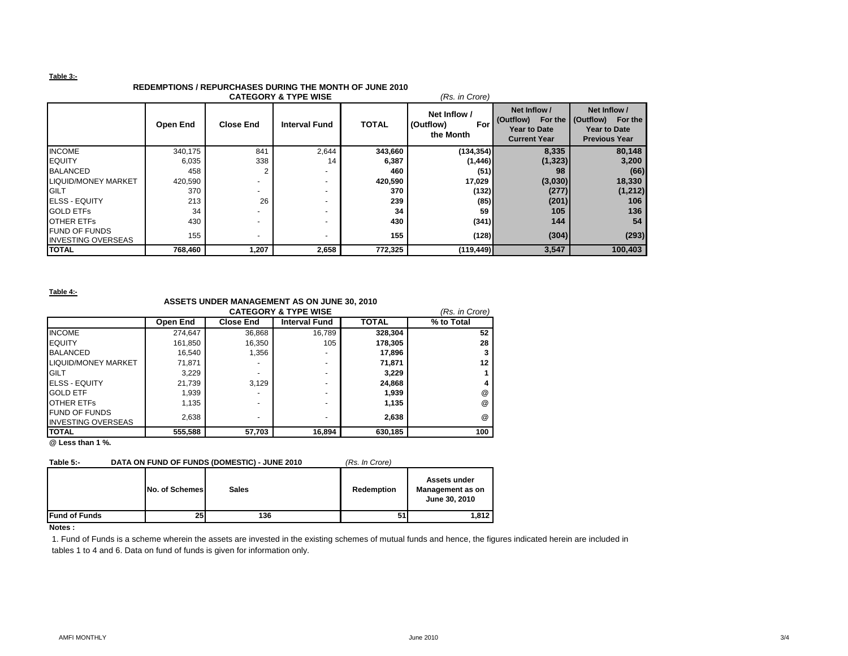#### **Table 3:-**

## **REDEMPTIONS / REPURCHASES DURING THE MONTH OF JUNE 2010**

|                                                   |          |                          | <b>CATEGORY &amp; TYPE WISE</b> |              | (Rs. in Crore)                                |                                                                                    |                                                                           |
|---------------------------------------------------|----------|--------------------------|---------------------------------|--------------|-----------------------------------------------|------------------------------------------------------------------------------------|---------------------------------------------------------------------------|
|                                                   | Open End | <b>Close End</b>         | <b>Interval Fund</b>            | <b>TOTAL</b> | Net Inflow /<br>(Outflow)<br>For<br>the Month | Net Inflow /<br>(Outflow)<br>For the<br><b>Year to Date</b><br><b>Current Year</b> | Net Inflow /<br>(Outflow) For the<br>Year to Date<br><b>Previous Year</b> |
| <b>INCOME</b>                                     | 340,175  | 841                      | 2,644                           | 343,660      | (134, 354)                                    | 8,335                                                                              | 80,148                                                                    |
| <b>EQUITY</b>                                     | 6,035    | 338                      | 14                              | 6,387        | (1, 446)                                      | (1, 323)                                                                           | 3,200                                                                     |
| <b>BALANCED</b>                                   | 458      |                          |                                 | 460          | (51)                                          | 98                                                                                 | (66)                                                                      |
| <b>LIQUID/MONEY MARKET</b>                        | 420,590  |                          |                                 | 420,590      | 17,029                                        | (3,030)                                                                            | 18,330                                                                    |
| <b>IGILT</b>                                      | 370      | $\overline{\phantom{0}}$ |                                 | 370          | (132)                                         | (277)                                                                              | (1, 212)                                                                  |
| <b>IELSS - EQUITY</b>                             | 213      | 26                       |                                 | 239          | (85)                                          | (201)                                                                              | 106                                                                       |
| <b>GOLD ETFS</b>                                  | 34       |                          |                                 | 34           | 59                                            | 105                                                                                | 136                                                                       |
| <b>OTHER ETFS</b>                                 | 430      |                          |                                 | 430          | (341)                                         | 144                                                                                | 54                                                                        |
| <b>FUND OF FUNDS</b><br><b>INVESTING OVERSEAS</b> | 155      | $\overline{\phantom{0}}$ |                                 | 155          | (128)                                         | (304)                                                                              | (293)                                                                     |
| <b>TOTAL</b>                                      | 768,460  | 1,207                    | 2,658                           | 772,325      | (119, 449)                                    | 3,547                                                                              | 100,403                                                                   |

**Table 4:-**

## **ASSETS UNDER MANAGEMENT AS ON JUNE 30, 2010**

|                            |          |                  | <b>CATEGORY &amp; TYPE WISE</b> |              | (Rs. in Crore) |
|----------------------------|----------|------------------|---------------------------------|--------------|----------------|
|                            | Open End | <b>Close End</b> | <b>Interval Fund</b>            | <b>TOTAL</b> | % to Total     |
| <b>INCOME</b>              | 274.647  | 36,868           | 16.789                          | 328,304      | 52             |
| <b>EQUITY</b>              | 161,850  | 16,350           | 105                             | 178,305      | 28             |
| <b>BALANCED</b>            | 16,540   | 1,356            |                                 | 17,896       |                |
| <b>LIQUID/MONEY MARKET</b> | 71.871   |                  |                                 | 71,871       | 12             |
| <b>GILT</b>                | 3,229    |                  | $\overline{\phantom{a}}$        | 3,229        |                |
| <b>IELSS - EQUITY</b>      | 21.739   | 3.129            |                                 | 24,868       |                |
| <b>GOLD ETF</b>            | 1,939    | -                |                                 | 1,939        | @              |
| <b>OTHER ETFS</b>          | 1,135    | -                |                                 | 1,135        | @              |
| <b>FUND OF FUNDS</b>       | 2,638    | -                |                                 | 2,638        | @              |
| <b>INVESTING OVERSEAS</b>  |          |                  |                                 |              |                |
| <b>TOTAL</b>               | 555,588  | 57,703           | 16,894                          | 630,185      | 100            |

**@ Less than 1 %.**

| Table 5:-             | DATA ON FUND OF FUNDS (DOMESTIC) - JUNE 2010 | (Rs. In Crore) |            |                                                   |
|-----------------------|----------------------------------------------|----------------|------------|---------------------------------------------------|
|                       | No. of Schemes                               | <b>Sales</b>   | Redemption | Assets under<br>Management as on<br>June 30, 2010 |
| <b>IFund of Funds</b> | 25                                           | 136            | 51         | 1.812                                             |

#### **Notes :**

1. Fund of Funds is a scheme wherein the assets are invested in the existing schemes of mutual funds and hence, the figures indicated herein are included in tables 1 to 4 and 6. Data on fund of funds is given for information only.